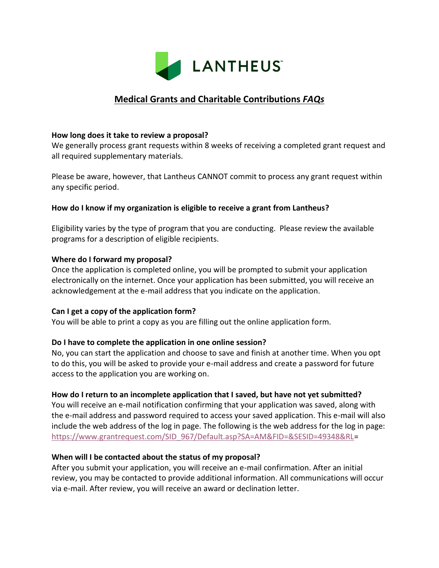

# **Medical Grants and Charitable Contributions** *FAQs*

### **How long does it take to review a proposal?**

We generally process grant requests within 8 weeks of receiving a completed grant request and all required supplementary materials.

Please be aware, however, that Lantheus CANNOT commit to process any grant request within any specific period.

### **How do I know if my organization is eligible to receive a grant from Lantheus?**

Eligibility varies by the type of program that you are conducting. Please review the available programs for a description of eligible recipients.

### **Where do I forward my proposal?**

Once the application is completed online, you will be prompted to submit your application electronically on the internet. Once your application has been submitted, you will receive an acknowledgement at the e-mail address that you indicate on the application.

# **Can I get a copy of the application form?**

You will be able to print a copy as you are filling out the online application form.

# **Do I have to complete the application in one online session?**

No, you can start the application and choose to save and finish at another time. When you opt to do this, you will be asked to provide your e-mail address and create a password for future access to the application you are working on.

# **How do I return to an incomplete application that I saved, but have not yet submitted?**

You will receive an e-mail notification confirming that your application was saved, along with the e-mail address and password required to access your saved application. This e-mail will also include the web address of the log in page. The following is the web address for the log in page: [https://www.grantrequest.com/SID\\_967/Default.asp?SA=AM&FID=&SESID=49348&RL=](https://www.grantrequest.com/SID_967/Default.asp?SA=AM&FID=&SESID=49348&RL)

# **When will I be contacted about the status of my proposal?**

After you submit your application, you will receive an e-mail confirmation. After an initial review, you may be contacted to provide additional information. All communications will occur via e-mail. After review, you will receive an award or declination letter.